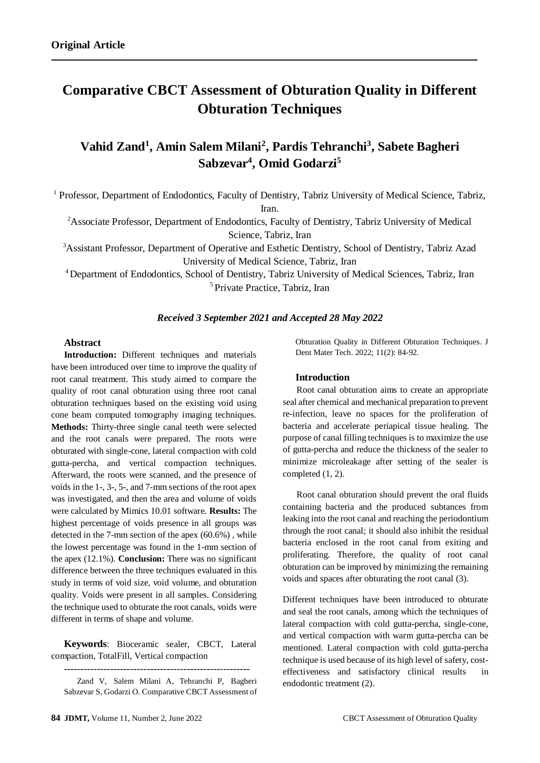# **Comparative CBCT Assessment of Obturation Quality in Different Obturation Techniques**

# **Vahid Zand<sup>1</sup> , Amin Salem Milani<sup>2</sup> , Pardis Tehranchi<sup>3</sup> , Sabete Bagheri Sabzevar<sup>4</sup> , Omid Godarzi<sup>5</sup>**

<sup>1</sup> Professor, Department of Endodontics, Faculty of Dentistry, Tabriz University of Medical Science, Tabriz, Iran.

<sup>2</sup>Associate Professor, Department of Endodontics, Faculty of Dentistry, Tabriz University of Medical Science, Tabriz, Iran

<sup>3</sup>Assistant Professor, Department of Operative and Esthetic Dentistry, School of Dentistry, Tabriz Azad University of Medical Science, Tabriz, Iran

<sup>4</sup>Department of Endodontics, School of Dentistry, Tabriz University of Medical Sciences, Tabriz, Iran <sup>5</sup> Private Practice, Tabriz, Iran

#### *Received 3 September 2021 and Accepted 28 May 2022*

#### **Abstract**

**Introduction:** Different techniques and materials have been introduced over time to improve the quality of root canal treatment. This study aimed to compare the quality of root canal obturation using three root canal obturation techniques based on the existing void using cone beam computed tomography imaging techniques. **Methods:** Thirty-three single canal teeth were selected and the root canals were prepared. The roots were obturated with single-cone, lateral compaction with cold gutta-percha, and vertical compaction techniques. Afterward, the roots were scanned, and the presence of voids in the 1-, 3-, 5-, and 7-mm sections of the root apex was investigated, and then the area and volume of voids were calculated by Mimics 10.01 software. **Results:** The highest percentage of voids presence in all groups was detected in the 7-mm section of the apex (60.6%) , while the lowest percentage was found in the 1-mm section of the apex (12.1%). **Conclusion:** There was no significant difference between the three techniques evaluated in this study in terms of void size, void volume, and obturation quality. Voids were present in all samples. Considering the technique used to obturate the root canals, voids were different in terms of shape and volume.

**Keywords**: Bioceramic sealer, CBCT, Lateral compaction, TotalFill, Vertical compaction

--------------------------------------------------------

Obturation Quality in Different Obturation Techniques. J Dent Mater Tech. 2022; 11(2): 84-92.

#### **Introduction**

 Root canal obturation aims to create an appropriate seal after chemical and mechanical preparation to prevent re-infection, leave no spaces for the proliferation of bacteria and accelerate periapical tissue healing. The purpose of canal filling techniques is to maximize the use of gutta-percha and reduce the thickness of the sealer to minimize microleakage after setting of the sealer is completed (1, 2).

 Root canal obturation should prevent the oral fluids containing bacteria and the produced subtances from leaking into the root canal and reaching the periodontium through the root canal; it should also inhibit the residual bacteria enclosed in the root canal from exiting and proliferating. Therefore, the quality of root canal obturation can be improved by minimizing the remaining voids and spaces after obturating the root canal (3).

Different techniques have been introduced to obturate and seal the root canals, among which the techniques of lateral compaction with cold gutta-percha, single-cone, and vertical compaction with warm gutta-percha can be mentioned. Lateral compaction with cold gutta-percha technique is used because of its high level of safety, costeffectiveness and satisfactory clinical results in endodontic treatment (2).

Zand V, Salem Milani A, Tehranchi P, Bagheri Sabzevar S, Godarzi O. Comparative CBCT Assessment of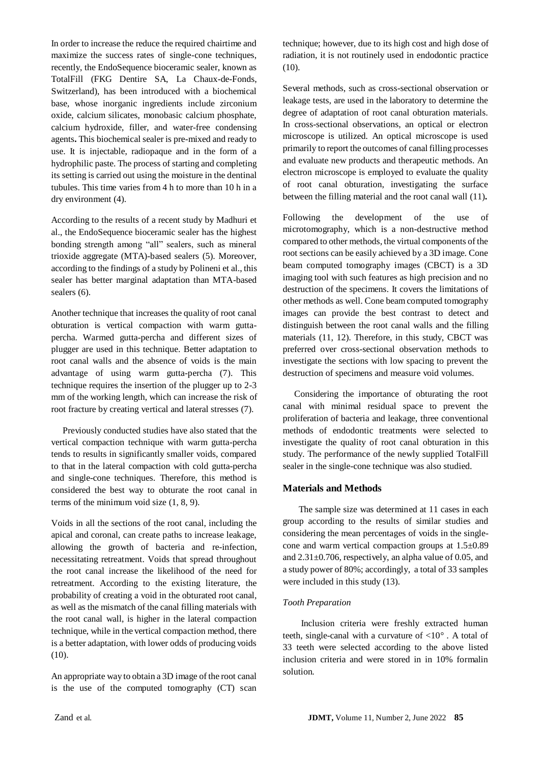In order to increase the reduce the required chairtime and maximize the success rates of single-cone techniques, recently, the EndoSequence bioceramic sealer, known as TotalFill (FKG Dentire SA, La Chaux-de-Fonds, Switzerland), has been introduced with a biochemical base, whose inorganic ingredients include zirconium oxide, calcium silicates, monobasic calcium phosphate, calcium hydroxide, filler, and water-free condensing agents**.** This biochemical sealer is pre-mixed and ready to use. It is injectable, radiopaque and in the form of a hydrophilic paste. The process of starting and completing its setting is carried out using the moisture in the dentinal tubules. This time varies from 4 h to more than 10 h in a dry environment (4).

According to the results of a recent study by Madhuri et al., the EndoSequence bioceramic sealer has the highest bonding strength among "all" sealers, such as mineral trioxide aggregate (MTA)-based sealers (5). Moreover, according to the findings of a study by Polineni et al., this sealer has better marginal adaptation than MTA-based sealers (6).

Another technique that increases the quality of root canal obturation is vertical compaction with warm guttapercha. Warmed gutta-percha and different sizes of plugger are used in this technique. Better adaptation to root canal walls and the absence of voids is the main advantage of using warm gutta-percha (7). This technique requires the insertion of the plugger up to 2-3 mm of the working length, which can increase the risk of root fracture by creating vertical and lateral stresses (7).

 Previously conducted studies have also stated that the vertical compaction technique with warm gutta-percha tends to results in significantly smaller voids, compared to that in the lateral compaction with cold gutta-percha and single-cone techniques. Therefore, this method is considered the best way to obturate the root canal in terms of the minimum void size (1, 8, 9).

Voids in all the sections of the root canal, including the apical and coronal, can create paths to increase leakage, allowing the growth of bacteria and re-infection, necessitating retreatment. Voids that spread throughout the root canal increase the likelihood of the need for retreatment. According to the existing literature, the probability of creating a void in the obturated root canal, as well as the mismatch of the canal filling materials with the root canal wall, is higher in the lateral compaction technique, while in the vertical compaction method, there is a better adaptation, with lower odds of producing voids (10).

An appropriate way to obtain a 3D image of the root canal is the use of the computed tomography (CT) scan technique; however, due to its high cost and high dose of radiation, it is not routinely used in endodontic practice (10).

Several methods, such as cross-sectional observation or leakage tests, are used in the laboratory to determine the degree of adaptation of root canal obturation materials. In cross-sectional observations, an optical or electron microscope is utilized. An optical microscope is used primarily to report the outcomes of canal filling processes and evaluate new products and therapeutic methods. An electron microscope is employed to evaluate the quality of root canal obturation, investigating the surface between the filling material and the root canal wall (11)**.**

Following the development of the use of microtomography, which is a non-destructive method compared to other methods, the virtual components of the root sections can be easily achieved by a 3D image. Cone beam computed tomography images (CBCT) is a 3D imaging tool with such features as high precision and no destruction of the specimens. It covers the limitations of other methods as well. Cone beam computed tomography images can provide the best contrast to detect and distinguish between the root canal walls and the filling materials (11, 12). Therefore, in this study, CBCT was preferred over cross-sectional observation methods to investigate the sections with low spacing to prevent the destruction of specimens and measure void volumes.

 Considering the importance of obturating the root canal with minimal residual space to prevent the proliferation of bacteria and leakage, three conventional methods of endodontic treatments were selected to investigate the quality of root canal obturation in this study. The performance of the newly supplied TotalFill sealer in the single-cone technique was also studied.

# **Materials and Methods**

 The sample size was determined at 11 cases in each group according to the results of similar studies and considering the mean percentages of voids in the singlecone and warm vertical compaction groups at 1.5±0.89 and 2.31±0.706, respectively, an alpha value of 0.05, and a study power of 80%; accordingly, a total of 33 samples were included in this study (13).

# *Tooth Preparation*

 Inclusion criteria were freshly extracted human teeth, single-canal with a curvature of  $\langle 10^\circ$ . A total of 33 teeth were selected according to the above listed inclusion criteria and were stored in in 10% formalin solution.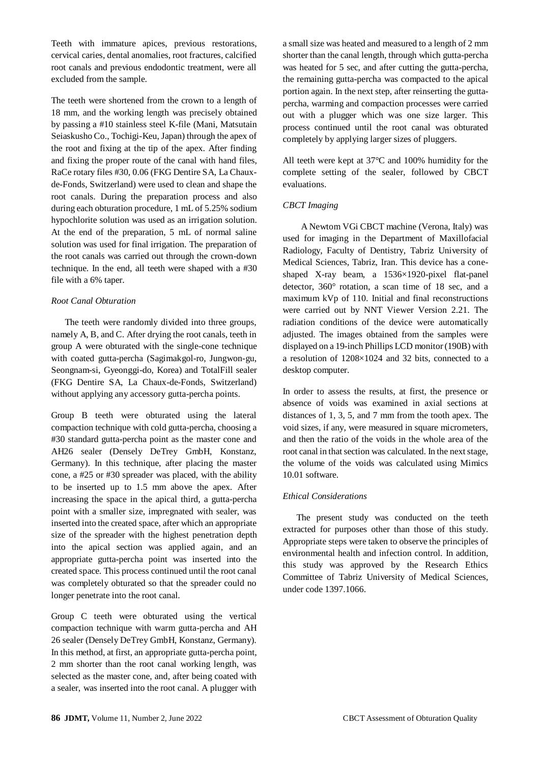Teeth with immature apices, previous restorations, cervical caries, dental anomalies, root fractures, calcified root canals and previous endodontic treatment, were all excluded from the sample.

The teeth were shortened from the crown to a length of 18 mm, and the working length was precisely obtained by passing a #10 stainless steel K-file (Mani, Matsutain Seiaskusho Co., Tochigi-Keu, Japan) through the apex of the root and fixing at the tip of the apex. After finding and fixing the proper route of the canal with hand files, RaCe rotary files #30, 0.06 (FKG Dentire SA, La Chauxde-Fonds, Switzerland) were used to clean and shape the root canals. During the preparation process and also during each obturation procedure, 1 mL of 5.25% sodium hypochlorite solution was used as an irrigation solution. At the end of the preparation, 5 mL of normal saline solution was used for final irrigation. The preparation of the root canals was carried out through the crown-down technique. In the end, all teeth were shaped with a #30 file with a 6% taper.

# *Root Canal Obturation*

 The teeth were randomly divided into three groups, namely A, B, and C. After drying the root canals, teeth in group A were obturated with the single-cone technique with coated gutta-percha (Sagimakgol-ro, Jungwon-gu, Seongnam-si, Gyeonggi-do, Korea) and TotalFill sealer (FKG Dentire SA, La Chaux-de-Fonds, Switzerland) without applying any accessory gutta-percha points.

Group B teeth were obturated using the lateral compaction technique with cold gutta-percha, choosing a #30 standard gutta-percha point as the master cone and AH26 sealer (Densely DeTrey GmbH, Konstanz, Germany). In this technique, after placing the master cone, a #25 or #30 spreader was placed, with the ability to be inserted up to 1.5 mm above the apex. After increasing the space in the apical third, a gutta-percha point with a smaller size, impregnated with sealer, was inserted into the created space, after which an appropriate size of the spreader with the highest penetration depth into the apical section was applied again, and an appropriate gutta-percha point was inserted into the created space. This process continued until the root canal was completely obturated so that the spreader could no longer penetrate into the root canal.

Group C teeth were obturated using the vertical compaction technique with warm gutta-percha and AH 26 sealer (Densely DeTrey GmbH, Konstanz, Germany). In this method, at first, an appropriate gutta-percha point, 2 mm shorter than the root canal working length, was selected as the master cone, and, after being coated with a sealer, was inserted into the root canal. A plugger with

a small size was heated and measured to a length of 2 mm shorter than the canal length, through which gutta-percha was heated for 5 sec, and after cutting the gutta-percha, the remaining gutta-percha was compacted to the apical portion again. In the next step, after reinserting the guttapercha, warming and compaction processes were carried out with a plugger which was one size larger. This process continued until the root canal was obturated completely by applying larger sizes of pluggers.

All teeth were kept at 37°C and 100% humidity for the complete setting of the sealer, followed by CBCT evaluations.

# *CBCT Imaging*

 A Newtom VGi CBCT machine (Verona, Italy) was used for imaging in the Department of Maxillofacial Radiology, Faculty of Dentistry, Tabriz University of Medical Sciences, Tabriz, Iran. This device has a coneshaped X-ray beam, a 1536×1920-pixel flat-panel detector, 360° rotation, a scan time of 18 sec, and a maximum kVp of 110. Initial and final reconstructions were carried out by NNT Viewer Version 2.21. The radiation conditions of the device were automatically adjusted. The images obtained from the samples were displayed on a 19-inch Phillips LCD monitor (190B) with a resolution of 1208×1024 and 32 bits, connected to a desktop computer.

In order to assess the results, at first, the presence or absence of voids was examined in axial sections at distances of 1, 3, 5, and 7 mm from the tooth apex. The void sizes, if any, were measured in square micrometers, and then the ratio of the voids in the whole area of the root canal in that section was calculated. In the next stage, the volume of the voids was calculated using Mimics 10.01 software.

# *Ethical Considerations*

 The present study was conducted on the teeth extracted for purposes other than those of this study. Appropriate steps were taken to observe the principles of environmental health and infection control. In addition, this study was approved by the Research Ethics Committee of Tabriz University of Medical Sciences, under code 1397.1066.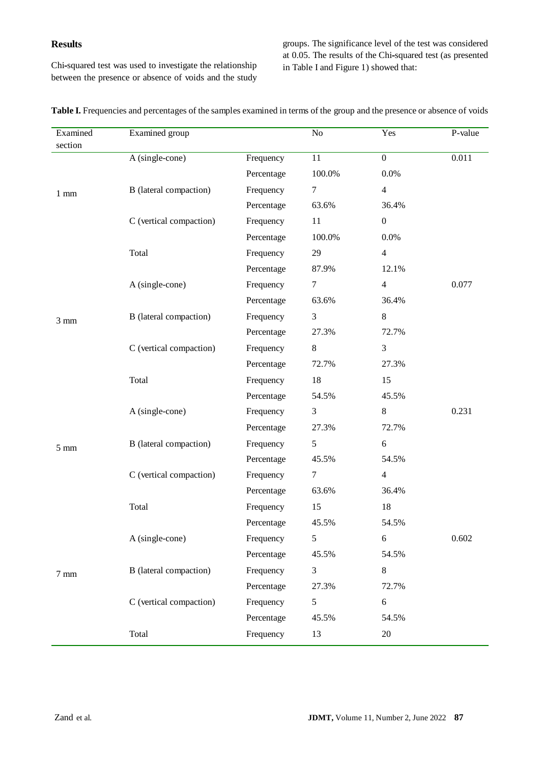# **Results**

Chi**-**squared test was used to investigate the relationship between the presence or absence of voids and the study groups. The significance level of the test was considered at 0.05. The results of the Chi**-**squared test (as presented in Table I and Figure 1) showed that:

| Examined       | Examined group                |            | No            | Yes              | P-value |
|----------------|-------------------------------|------------|---------------|------------------|---------|
| section        |                               |            |               |                  |         |
| $1 \text{ mm}$ | A (single-cone)               | Frequency  | 11            | $\boldsymbol{0}$ | 0.011   |
|                |                               | Percentage | 100.0%        | $0.0\%$          |         |
|                | <b>B</b> (lateral compaction) | Frequency  | 7             | $\overline{4}$   |         |
|                |                               | Percentage | 63.6%         | 36.4%            |         |
|                | C (vertical compaction)       | Frequency  | 11            | $\boldsymbol{0}$ |         |
|                |                               | Percentage | 100.0%        | 0.0%             |         |
|                | Total                         | Frequency  | 29            | $\overline{4}$   |         |
|                |                               | Percentage | 87.9%         | 12.1%            |         |
|                | A (single-cone)               | Frequency  | 7             | $\overline{4}$   | 0.077   |
|                |                               | Percentage | 63.6%         | 36.4%            |         |
| $3 \text{ mm}$ | <b>B</b> (lateral compaction) | Frequency  | 3             | 8                |         |
|                |                               | Percentage | 27.3%         | 72.7%            |         |
|                | C (vertical compaction)       | Frequency  | $8\,$         | 3                |         |
|                |                               | Percentage | 72.7%         | 27.3%            |         |
|                | Total                         | Frequency  | 18            | 15               |         |
|                |                               | Percentage | 54.5%         | 45.5%            |         |
| $5 \text{ mm}$ | A (single-cone)               | Frequency  | 3             | 8                | 0.231   |
|                |                               | Percentage | 27.3%         | 72.7%            |         |
|                | <b>B</b> (lateral compaction) | Frequency  | 5             | 6                |         |
|                |                               | Percentage | 45.5%         | 54.5%            |         |
|                | C (vertical compaction)       | Frequency  | 7             | $\overline{4}$   |         |
|                |                               | Percentage | 63.6%         | 36.4%            |         |
|                | Total                         | Frequency  | 15            | 18               |         |
| $7 \text{ mm}$ |                               | Percentage | 45.5%         | 54.5%            |         |
|                | A (single-cone)               | Frequency  | $\mathfrak s$ | 6                | 0.602   |
|                |                               | Percentage | 45.5%         | 54.5%            |         |
|                | <b>B</b> (lateral compaction) | Frequency  | 3             | 8                |         |
|                |                               | Percentage | 27.3%         | 72.7%            |         |
|                | C (vertical compaction)       | Frequency  | 5             | 6                |         |
|                |                               | Percentage | 45.5%         | 54.5%            |         |
|                | Total                         | Frequency  | 13            | 20               |         |

Table I. Frequencies and percentages of the samples examined in terms of the group and the presence or absence of voids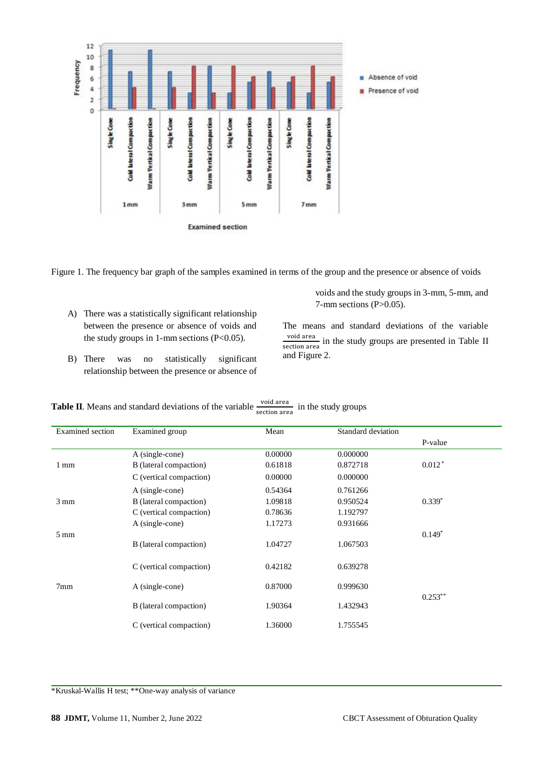

Figure 1. The frequency bar graph of the samples examined in terms of the group and the presence or absence of voids

- A) There was a statistically significant relationship between the presence or absence of voids and the study groups in 1-mm sections  $(P<0.05)$ .
- B) There was no statistically significant relationship between the presence or absence of

voids and the study groups in 3-mm, 5-mm, and  $7-$ mm sections (P $>0.05$ ).

The means and standard deviations of the variable void area  $\frac{\text{voud area}}{\text{section area}}$  in the study groups are presented in Table II and Figure 2.

| Examined section | Examined group          | Mean    | Standard deviation |            |  |
|------------------|-------------------------|---------|--------------------|------------|--|
|                  |                         |         |                    | P-value    |  |
|                  | $A$ (single-cone)       | 0.00000 | 0.000000           |            |  |
| 1 mm             | B (lateral compaction)  | 0.61818 | 0.872718           | $0.012*$   |  |
|                  | C (vertical compaction) | 0.00000 | 0.000000           |            |  |
|                  | A (single-cone)         | 0.54364 | 0.761266           |            |  |
| $3 \text{ mm}$   | B (lateral compaction)  | 1.09818 | 0.950524           | $0.339*$   |  |
|                  | C (vertical compaction) | 0.78636 | 1.192797           |            |  |
|                  | A (single-cone)         | 1.17273 | 0.931666           |            |  |
| $5 \text{ mm}$   | B (lateral compaction)  | 1.04727 | 1.067503           | $0.149*$   |  |
|                  | C (vertical compaction) | 0.42182 | 0.639278           |            |  |
| 7 <sub>mm</sub>  | A (single-cone)         | 0.87000 | 0.999630           | $0.253***$ |  |
|                  | B (lateral compaction)  | 1.90364 | 1.432943           |            |  |
|                  | C (vertical compaction) | 1.36000 | 1.755545           |            |  |

**Table II**. Means and standard deviations of the variable  $\frac{\text{void area}}{\text{section area}}$  in the study groups

\*Kruskal-Wallis H test; \*\*One-way analysis of variance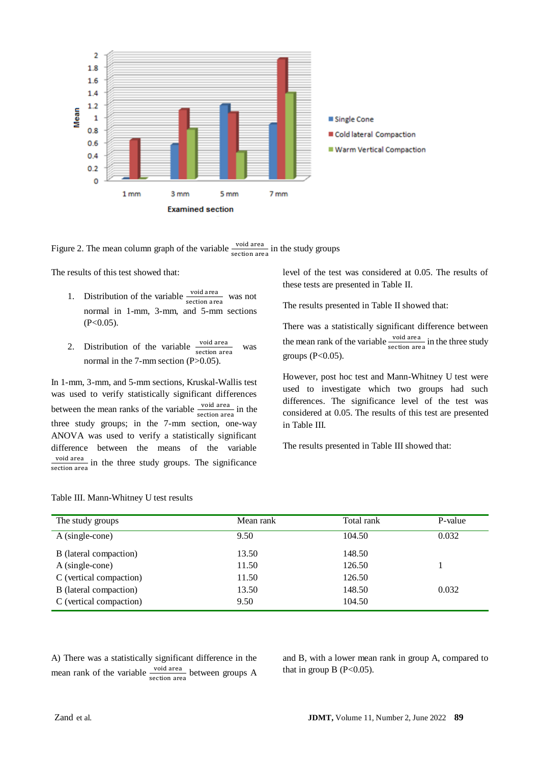

Figure 2. The mean column graph of the variable  $\frac{\text{void area}}{\text{section area}}$  in the study groups

The results of this test showed that:

- 1. Distribution of the variable  $\frac{\text{void area}}{\text{section area}}$  was not normal in 1-mm, 3-mm, and 5-mm sections  $(P<0.05)$ .
- 2. Distribution of the variable  $\frac{\text{void area}}{\text{section area}}$  was normal in the  $7$ -mm section (P $>0.05$ ).

In 1-mm, 3-mm, and 5-mm sections, Kruskal-Wallis test was used to verify statistically significant differences between the mean ranks of the variable  $\frac{\text{void area}}{\text{section area}}$  in the three study groups; in the 7-mm section, one-way ANOVA was used to verify a statistically significant difference between the means of the variable void area  $\frac{\text{volu area}}{\text{section area}}$  in the three study groups. The significance level of the test was considered at 0.05. The results of these tests are presented in Table II.

The results presented in Table II showed that:

There was a statistically significant difference between the mean rank of the variable  $\frac{\text{void area}}{\text{section area}}$  in the three study groups  $(P<0.05)$ .

However, post hoc test and Mann-Whitney U test were used to investigate which two groups had such differences. The significance level of the test was considered at 0.05. The results of this test are presented in Table III.

The results presented in Table III showed that:

| The study groups        | Mean rank | Total rank | P-value |
|-------------------------|-----------|------------|---------|
| $A$ (single-cone)       | 9.50      | 104.50     | 0.032   |
| B (lateral compaction)  | 13.50     | 148.50     |         |
| A (single-cone)         | 11.50     | 126.50     |         |
| C (vertical compaction) | 11.50     | 126.50     |         |
| B (lateral compaction)  | 13.50     | 148.50     | 0.032   |
| C (vertical compaction) | 9.50      | 104.50     |         |

Table III. Mann-Whitney U test results

A) There was a statistically significant difference in the mean rank of the variable  $\frac{\text{void area}}{\text{section area}}$  between groups A and B, with a lower mean rank in group A, compared to that in group  $B(P<0.05)$ .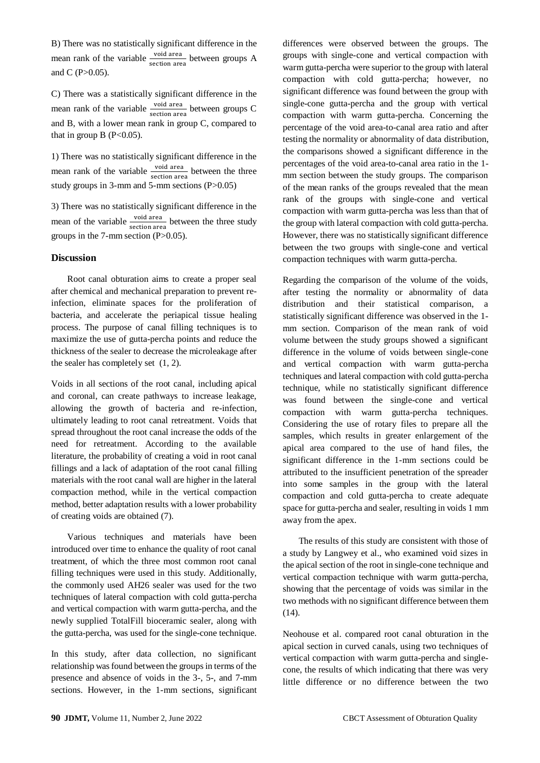B) There was no statistically significant difference in the mean rank of the variable  $\frac{\text{void area}}{\text{section area}}$  between groups A and  $C (P > 0.05)$ .

C) There was a statistically significant difference in the mean rank of the variable  $\frac{\text{void area}}{\text{section area}}$  between groups C and B, with a lower mean rank in group C, compared to that in group  $B(P<0.05)$ .

1) There was no statistically significant difference in the mean rank of the variable  $\frac{\text{void area}}{\text{section area}}$  between the three study groups in 3-mm and 5-mm sections (P>0.05)

3) There was no statistically significant difference in the mean of the variable  $\frac{\text{void area}}{\text{section area}}$  between the three study groups in the  $7$ -mm section (P $>0.05$ ).

#### **Discussion**

 Root canal obturation aims to create a proper seal after chemical and mechanical preparation to prevent reinfection, eliminate spaces for the proliferation of bacteria, and accelerate the periapical tissue healing process. The purpose of canal filling techniques is to maximize the use of gutta-percha points and reduce the thickness of the sealer to decrease the microleakage after the sealer has completely set (1, 2).

Voids in all sections of the root canal, including apical and coronal, can create pathways to increase leakage, allowing the growth of bacteria and re-infection, ultimately leading to root canal retreatment. Voids that spread throughout the root canal increase the odds of the need for retreatment. According to the available literature, the probability of creating a void in root canal fillings and a lack of adaptation of the root canal filling materials with the root canal wall are higher in the lateral compaction method, while in the vertical compaction method, better adaptation results with a lower probability of creating voids are obtained (7).

 Various techniques and materials have been introduced over time to enhance the quality of root canal treatment, of which the three most common root canal filling techniques were used in this study. Additionally, the commonly used AH26 sealer was used for the two techniques of lateral compaction with cold gutta-percha and vertical compaction with warm gutta-percha, and the newly supplied TotalFill bioceramic sealer, along with the gutta-percha, was used for the single-cone technique.

In this study, after data collection, no significant relationship was found between the groups in terms of the presence and absence of voids in the 3-, 5-, and 7-mm sections. However, in the 1-mm sections, significant differences were observed between the groups. The groups with single-cone and vertical compaction with warm gutta-percha were superior to the group with lateral compaction with cold gutta-percha; however, no significant difference was found between the group with single-cone gutta-percha and the group with vertical compaction with warm gutta-percha. Concerning the percentage of the void area-to-canal area ratio and after testing the normality or abnormality of data distribution, the comparisons showed a significant difference in the percentages of the void area-to-canal area ratio in the 1 mm section between the study groups. The comparison of the mean ranks of the groups revealed that the mean rank of the groups with single-cone and vertical compaction with warm gutta-percha was less than that of the group with lateral compaction with cold gutta-percha. However, there was no statistically significant difference between the two groups with single-cone and vertical compaction techniques with warm gutta-percha.

Regarding the comparison of the volume of the voids, after testing the normality or abnormality of data distribution and their statistical comparison, a statistically significant difference was observed in the 1 mm section. Comparison of the mean rank of void volume between the study groups showed a significant difference in the volume of voids between single-cone and vertical compaction with warm gutta-percha techniques and lateral compaction with cold gutta-percha technique, while no statistically significant difference was found between the single-cone and vertical compaction with warm gutta-percha techniques. Considering the use of rotary files to prepare all the samples, which results in greater enlargement of the apical area compared to the use of hand files, the significant difference in the 1-mm sections could be attributed to the insufficient penetration of the spreader into some samples in the group with the lateral compaction and cold gutta-percha to create adequate space for gutta-percha and sealer, resulting in voids 1 mm away from the apex.

 The results of this study are consistent with those of a study by Langwey et al., who examined void sizes in the apical section of the root in single-cone technique and vertical compaction technique with warm gutta-percha, showing that the percentage of voids was similar in the two methods with no significant difference between them (14).

Neohouse et al. compared root canal obturation in the apical section in curved canals, using two techniques of vertical compaction with warm gutta-percha and singlecone, the results of which indicating that there was very little difference or no difference between the two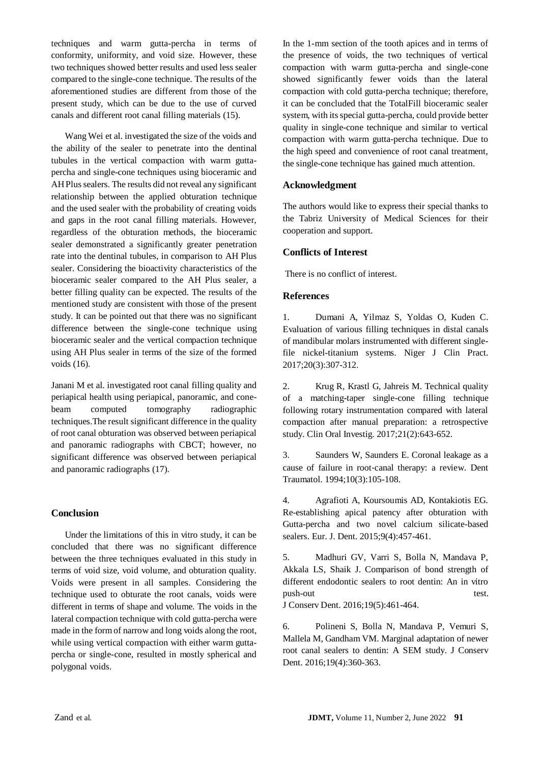techniques and warm gutta-percha in terms of conformity, uniformity, and void size. However, these two techniques showed better results and used less sealer compared to the single-cone technique. The results of the aforementioned studies are different from those of the present study, which can be due to the use of curved canals and different root canal filling materials (15).

 Wang Wei et al. investigated the size of the voids and the ability of the sealer to penetrate into the dentinal tubules in the vertical compaction with warm guttapercha and single-cone techniques using bioceramic and AH Plus sealers. The results did not reveal any significant relationship between the applied obturation technique and the used sealer with the probability of creating voids and gaps in the root canal filling materials. However, regardless of the obturation methods, the bioceramic sealer demonstrated a significantly greater penetration rate into the dentinal tubules, in comparison to AH Plus sealer. Considering the bioactivity characteristics of the bioceramic sealer compared to the AH Plus sealer, a better filling quality can be expected. The results of the mentioned study are consistent with those of the present study. It can be pointed out that there was no significant difference between the single-cone technique using bioceramic sealer and the vertical compaction technique using AH Plus sealer in terms of the size of the formed voids (16).

Janani M et al. investigated root canal filling quality and periapical health using periapical, panoramic, and conebeam computed tomography radiographic techniques.The result significant difference in the quality of root canal obturation was observed between periapical and panoramic radiographs with CBCT; however, no significant difference was observed between periapical and panoramic radiographs (17).

# **Conclusion**

 Under the limitations of this in vitro study, it can be concluded that there was no significant difference between the three techniques evaluated in this study in terms of void size, void volume, and obturation quality. Voids were present in all samples. Considering the technique used to obturate the root canals, voids were different in terms of shape and volume. The voids in the lateral compaction technique with cold gutta-percha were made in the form of narrow and long voids along the root, while using vertical compaction with either warm guttapercha or single-cone, resulted in mostly spherical and polygonal voids.

In the 1-mm section of the tooth apices and in terms of the presence of voids, the two techniques of vertical compaction with warm gutta-percha and single-cone showed significantly fewer voids than the lateral compaction with cold gutta-percha technique; therefore, it can be concluded that the TotalFill bioceramic sealer system, with its special gutta-percha, could provide better quality in single-cone technique and similar to vertical compaction with warm gutta-percha technique. Due to the high speed and convenience of root canal treatment, the single-cone technique has gained much attention.

#### **Acknowledgment**

The authors would like to express their special thanks to the Tabriz University of Medical Sciences for their cooperation and support.

# **Conflicts of Interest**

There is no conflict of interest.

# **References**

1. Dumani A, Yilmaz S, Yoldas O, Kuden C. Evaluation of various filling techniques in distal canals of mandibular molars instrumented with different singlefile nickel-titanium systems. Niger J Clin Pract. 2017;20(3):307-312.

2. Krug R, Krastl G, Jahreis M. Technical quality of a matching-taper single-cone filling technique following rotary instrumentation compared with lateral compaction after manual preparation: a retrospective study. Clin Oral Investig. 2017;21(2):643-652.

3. Saunders W, Saunders E. Coronal leakage as a cause of failure in root‐canal therapy: a review. Dent Traumatol. 1994;10(3):105-108.

4. Agrafioti A, Koursoumis AD, Kontakiotis EG. Re-establishing apical patency after obturation with Gutta-percha and two novel calcium silicate-based sealers. Eur. J. Dent. 2015;9(4):457-461.

5. Madhuri GV, Varri S, Bolla N, Mandava P, Akkala LS, Shaik J. Comparison of bond strength of different endodontic sealers to root dentin: An in vitro push-out test.

J Conserv Dent. 2016;19(5):461-464.

6. Polineni S, Bolla N, Mandava P, Vemuri S, Mallela M, Gandham VM. Marginal adaptation of newer root canal sealers to dentin: A SEM study. J Conserv Dent. 2016;19(4):360-363.